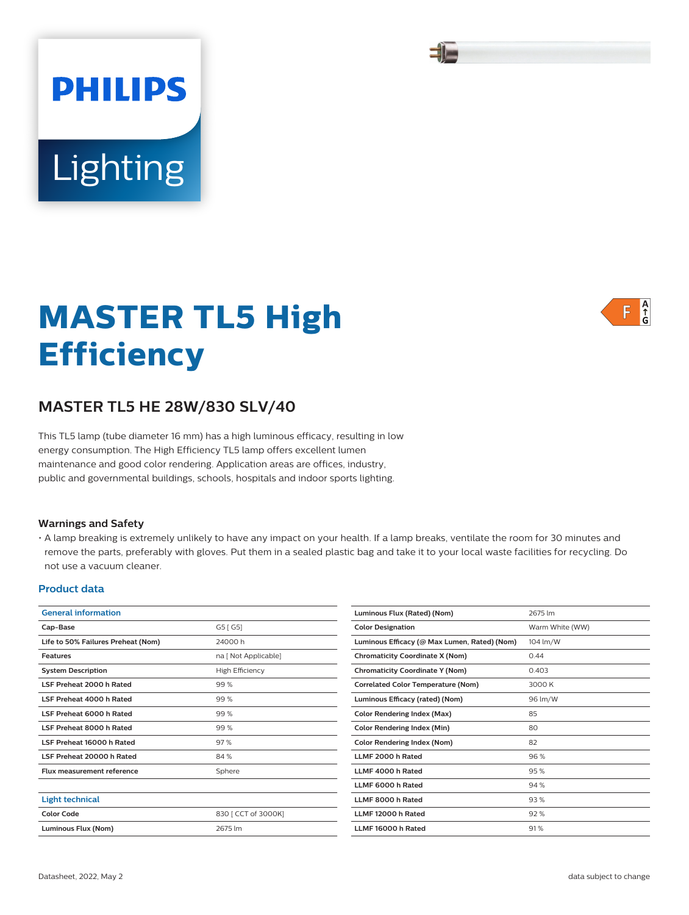# **MASTER TL5 High Efficiency**

## **MASTER TL5 HE 28W/830 SLV/40**

Lighting

**PHILIPS** 

This TL5 lamp (tube diameter 16 mm) has a high luminous efficacy, resulting in low energy consumption. The High Efficiency TL5 lamp offers excellent lumen maintenance and good color rendering. Application areas are offices, industry, public and governmental buildings, schools, hospitals and indoor sports lighting.

#### **Warnings and Safety**

• A lamp breaking is extremely unlikely to have any impact on your health. If a lamp breaks, ventilate the room for 30 minutes and remove the parts, preferably with gloves. Put them in a sealed plastic bag and take it to your local waste facilities for recycling. Do not use a vacuum cleaner.

#### **Product data**

| <b>General information</b>         |                        |  |  |
|------------------------------------|------------------------|--|--|
| Cap-Base                           | G5 [G5]                |  |  |
| Life to 50% Failures Preheat (Nom) | 24000 h                |  |  |
| <b>Features</b>                    | na [ Not Applicable]   |  |  |
| <b>System Description</b>          | <b>High Efficiency</b> |  |  |
| LSF Preheat 2000 h Rated           | 99%                    |  |  |
| LSF Preheat 4000 h Rated           | 99%                    |  |  |
| LSF Preheat 6000 h Rated           | 99%                    |  |  |
| LSF Preheat 8000 h Rated           | 99%                    |  |  |
| LSF Preheat 16000 h Rated          | 97%                    |  |  |
| LSF Preheat 20000 h Rated          | 84 %                   |  |  |
| Flux measurement reference         | Sphere                 |  |  |
|                                    |                        |  |  |
| <b>Light technical</b>             |                        |  |  |
| <b>Color Code</b>                  | 830 [ CCT of 3000K]    |  |  |
| Luminous Flux (Nom)                | 2675 lm                |  |  |

| Luminous Flux (Rated) (Nom)                  | 2675 lm         |
|----------------------------------------------|-----------------|
| <b>Color Designation</b>                     | Warm White (WW) |
| Luminous Efficacy (@ Max Lumen, Rated) (Nom) | 104 lm/W        |
| <b>Chromaticity Coordinate X (Nom)</b>       | 0.44            |
| <b>Chromaticity Coordinate Y (Nom)</b>       | 0.403           |
| <b>Correlated Color Temperature (Nom)</b>    | 3000 K          |
| Luminous Efficacy (rated) (Nom)              | 96 lm/W         |
| <b>Color Rendering Index (Max)</b>           | 85              |
| Color Rendering Index (Min)                  | 80              |
| <b>Color Rendering Index (Nom)</b>           | 82              |
| LLMF 2000 h Rated                            | 96%             |
| LLMF 4000 h Rated                            | 95%             |
| LLMF 6000 h Rated                            | 94 %            |
| LLMF 8000 h Rated                            | 93%             |
| LLMF 12000 h Rated                           | 92%             |
| LLMF 16000 h Rated                           | 91%             |
|                                              |                 |





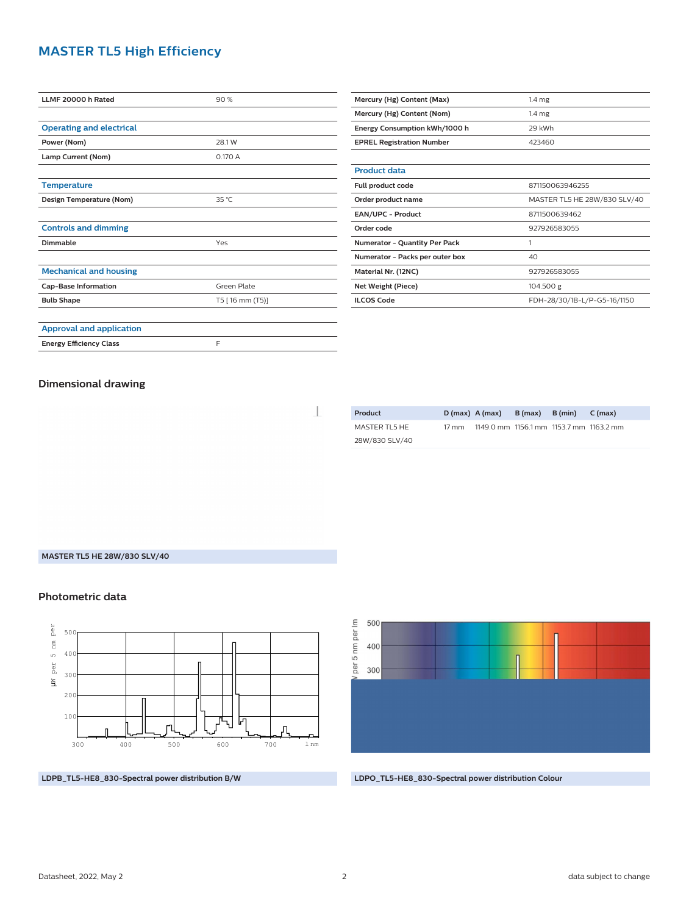## **MASTER TL5 High Efficiency**

| LLMF 20000 h Rated              | 90%             |  |  |
|---------------------------------|-----------------|--|--|
|                                 |                 |  |  |
| <b>Operating and electrical</b> |                 |  |  |
| Power (Nom)                     | 28.1 W          |  |  |
| Lamp Current (Nom)              | 0.170 A         |  |  |
|                                 |                 |  |  |
| <b>Temperature</b>              |                 |  |  |
| Design Temperature (Nom)        | 35 °C           |  |  |
|                                 |                 |  |  |
| <b>Controls and dimming</b>     |                 |  |  |
| Dimmable                        | Yes             |  |  |
|                                 |                 |  |  |
| <b>Mechanical and housing</b>   |                 |  |  |
| <b>Cap-Base Information</b>     | Green Plate     |  |  |
| <b>Bulb Shape</b>               | T5 [16 mm (T5)] |  |  |
|                                 |                 |  |  |
| <b>Approval and application</b> |                 |  |  |
| <b>Energy Efficiency Class</b>  | F               |  |  |

| Mercury (Hg) Content (Max)           | 1.4 <sub>mg</sub>            |  |  |
|--------------------------------------|------------------------------|--|--|
| Mercury (Hg) Content (Nom)           | 1.4 <sub>mg</sub>            |  |  |
| Energy Consumption kWh/1000 h        | 29 kWh                       |  |  |
| <b>EPREL Registration Number</b>     | 423460                       |  |  |
|                                      |                              |  |  |
| <b>Product data</b>                  |                              |  |  |
| Full product code                    | 871150063946255              |  |  |
| Order product name                   | MASTER TL5 HE 28W/830 SLV/40 |  |  |
| <b>EAN/UPC - Product</b>             | 8711500639462                |  |  |
| Order code                           | 927926583055                 |  |  |
| <b>Numerator - Quantity Per Pack</b> | 1                            |  |  |
| Numerator - Packs per outer box      | 40                           |  |  |
| Material Nr. (12NC)                  | 927926583055                 |  |  |
| Net Weight (Piece)                   | 104.500 g                    |  |  |
| <b>ILCOS Code</b>                    | FDH-28/30/1B-L/P-G5-16/1150  |  |  |

#### **Dimensional drawing**

 $\overline{\phantom{a}}$ 

| Product        | $D(max)$ A (max) |                                         | $B(max)$ $B(min)$ | C(max) |
|----------------|------------------|-----------------------------------------|-------------------|--------|
| MASTER TL5 HE  | 17 mm            | 1149.0 mm 1156.1 mm 1153.7 mm 1163.2 mm |                   |        |
| 28W/830 SLV/40 |                  |                                         |                   |        |

#### **MASTER TL5 HE 28W/830 SLV/40**

#### **Photometric data**